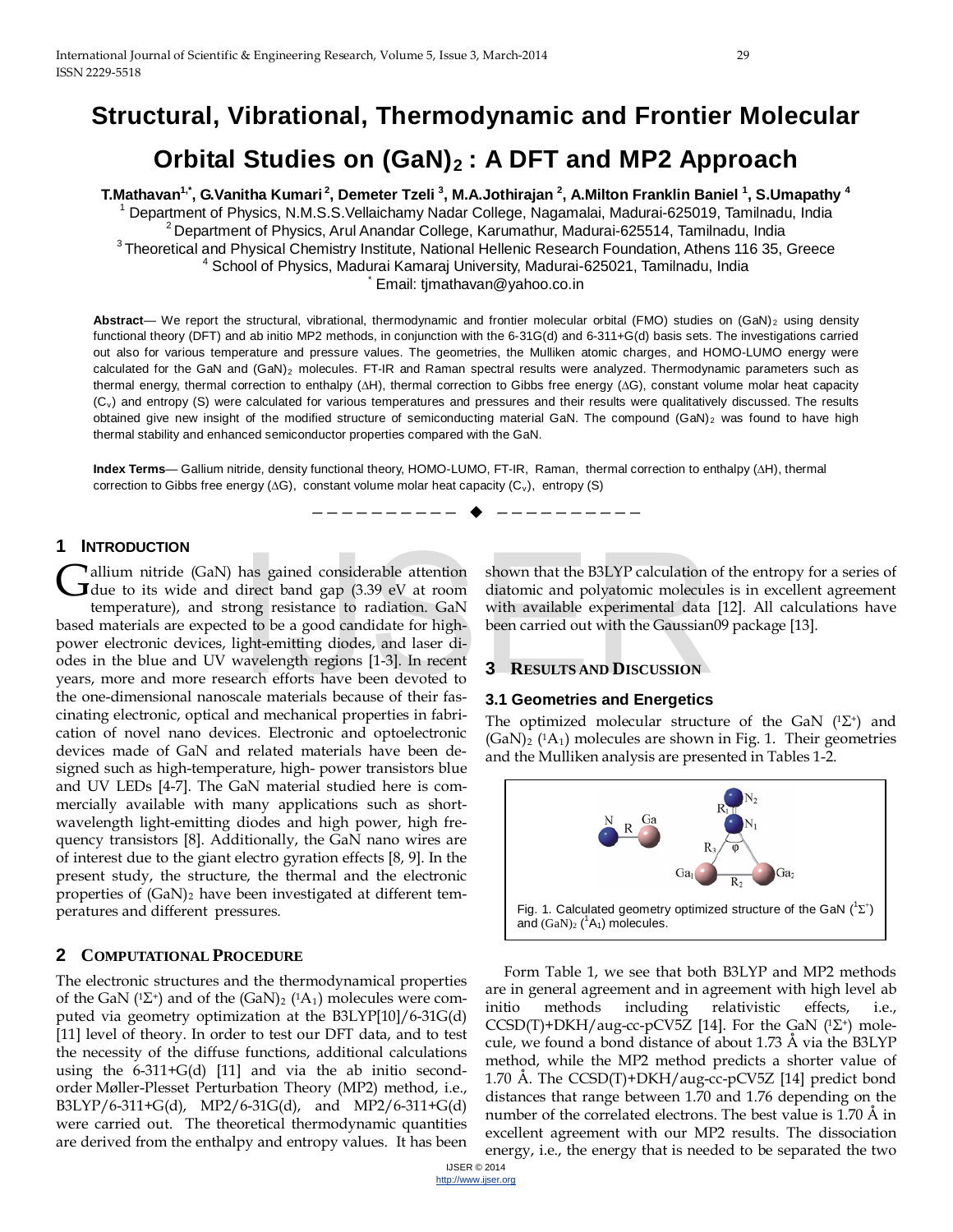# **Structural, Vibrational, Thermodynamic and Frontier Molecular Orbital Studies on (GaN)<sub>2</sub>: A DFT and MP2 Approach**

**T.Mathavan1,\*, G.Vanitha Kumari 2, Demeter Tzeli 3 , M.A.Jothirajan <sup>2</sup> , A.Milton Franklin Baniel <sup>1</sup> , S.Umapathy 4** <sup>1</sup> Department of Physics, N.M.S.S.Vellaichamy Nadar College, Nagamalai, Madurai-625019, Tamilnadu, India 2 Department of Physics, Arul Anandar College, Karumathur, Madurai-625514, Tamilnadu, India 3 Theoretical and Physical Chemistry Institute, National Hellenic Research Foundation, Athens 116 35, Greece <sup>4</sup> School of Physics, Madurai Kamaraj University, Madurai-625021, Tamilnadu, India Email: timathavan@yahoo.co.in

Abstract— We report the structural, vibrational, thermodynamic and frontier molecular orbital (FMO) studies on (GaN)<sub>2</sub> using density functional theory (DFT) and ab initio MP2 methods, in conjunction with the 6-31G(d) and 6-311+G(d) basis sets. The investigations carried out also for various temperature and pressure values. The geometries, the Mulliken atomic charges, and HOMO-LUMO energy were calculated for the GaN and  $(GaN)_2$  molecules. FT-IR and Raman spectral results were analyzed. Thermodynamic parameters such as thermal energy, thermal correction to enthalpy (**∆**H), thermal correction to Gibbs free energy (**∆**G), constant volume molar heat capacity (Cv) and entropy (S) were calculated for various temperatures and pressures and their results were qualitatively discussed. The results obtained give new insight of the modified structure of semiconducting material GaN. The compound  $(GaN)_2$  was found to have high thermal stability and enhanced semiconductor properties compared with the GaN.

**Index Terms**— Gallium nitride, density functional theory, HOMO-LUMO, FT-IR, Raman, thermal correction to enthalpy (**∆**H), thermal correction to Gibbs free energy (∆G), constant volume molar heat capacity (C<sub>v</sub>), entropy (S)

—————————— ——————————

# **1 INTRODUCTION**

allium nitride (GaN) has gained considerable attention **G**allium nitride (GaN) has gained considerable attention<br>due to its wide and direct band gap (3.39 eV at room

temperature), and strong resistance to radiation. GaN based materials are expected to be a good candidate for highpower electronic devices, light-emitting diodes, and laser diodes in the blue and UV wavelength regions [1-3]. In recent years, more and more research efforts have been devoted to the one-dimensional nanoscale materials because of their fascinating electronic, optical and mechanical properties in fabrication of novel nano devices. Electronic and optoelectronic devices made of GaN and related materials have been designed such as high-temperature, high- power transistors blue and UV LEDs [4-7]. The GaN material studied here is commercially available with many applications such as shortwavelength light-emitting diodes and high power, high frequency transistors [8]. Additionally, the GaN nano wires are of interest due to the giant electro gyration effects [8, 9]. In the present study, the structure, the thermal and the electronic properties of  $(GaN)_2$  have been investigated at different temperatures and different pressures. has gained considerable attention<br>direct band gap (3.39 eV at room diatomic and polyatomic molecule<br>ong resistance to radiation. GaN with available experimental data<br>d to be a good candidate for high-been carried out with

# **2 COMPUTATIONAL PROCEDURE**

The electronic structures and the thermodynamical properties of the GaN ( ${}^{1}\Sigma^{+}$ ) and of the (GaN)<sub>2</sub> ( ${}^{1}\text{A}_1$ ) molecules were computed via geometry optimization at the B3LYP[10]/6-31G(d) [11] level of theory. In order to test our DFT data, and to test the necessity of the diffuse functions, additional calculations using the 6-311+G(d) [11] and via the ab initio secondorder Møller-Plesset Perturbation Theory (MP2) method, i.e., B3LYP/6-311+G(d), MP2/6-31G(d), and MP2/6-311+G(d) were carried out. The theoretical thermodynamic quantities are derived from the enthalpy and entropy values. It has been shown that the B3LYP calculation of the entropy for a series of diatomic and polyatomic molecules is in excellent agreement with available experimental data [12]. All calculations have been carried out with the Gaussian09 package [13].

#### **3 RESULTS AND DISCUSSION**

#### **3.1 Geometries and Energetics**

The optimized molecular structure of the GaN  $(1\Sigma^+)$  and  $(GaN)_2$  (<sup>1</sup>A<sub>1</sub>) molecules are shown in Fig. 1. Their geometries and the Mulliken analysis are presented in Tables 1-2.



Form Table 1, we see that both B3LYP and MP2 methods are in general agreement and in agreement with high level ab initio methods including relativistic effects, i.e., CCSD(T)+DKH/aug-cc-pCV5Z [14]. For the GaN  $(^{1}\Sigma^{+})$  molecule, we found a bond distance of about 1.73 Å via the B3LYP method, while the MP2 method predicts a shorter value of 1.70 Å. The CCSD(T)+DKH/aug-cc-pCV5Z [14] predict bond distances that range between 1.70 and 1.76 depending on the number of the correlated electrons. The best value is 1.70 Å in excellent agreement with our MP2 results. The dissociation energy, i.e., the energy that is needed to be separated the two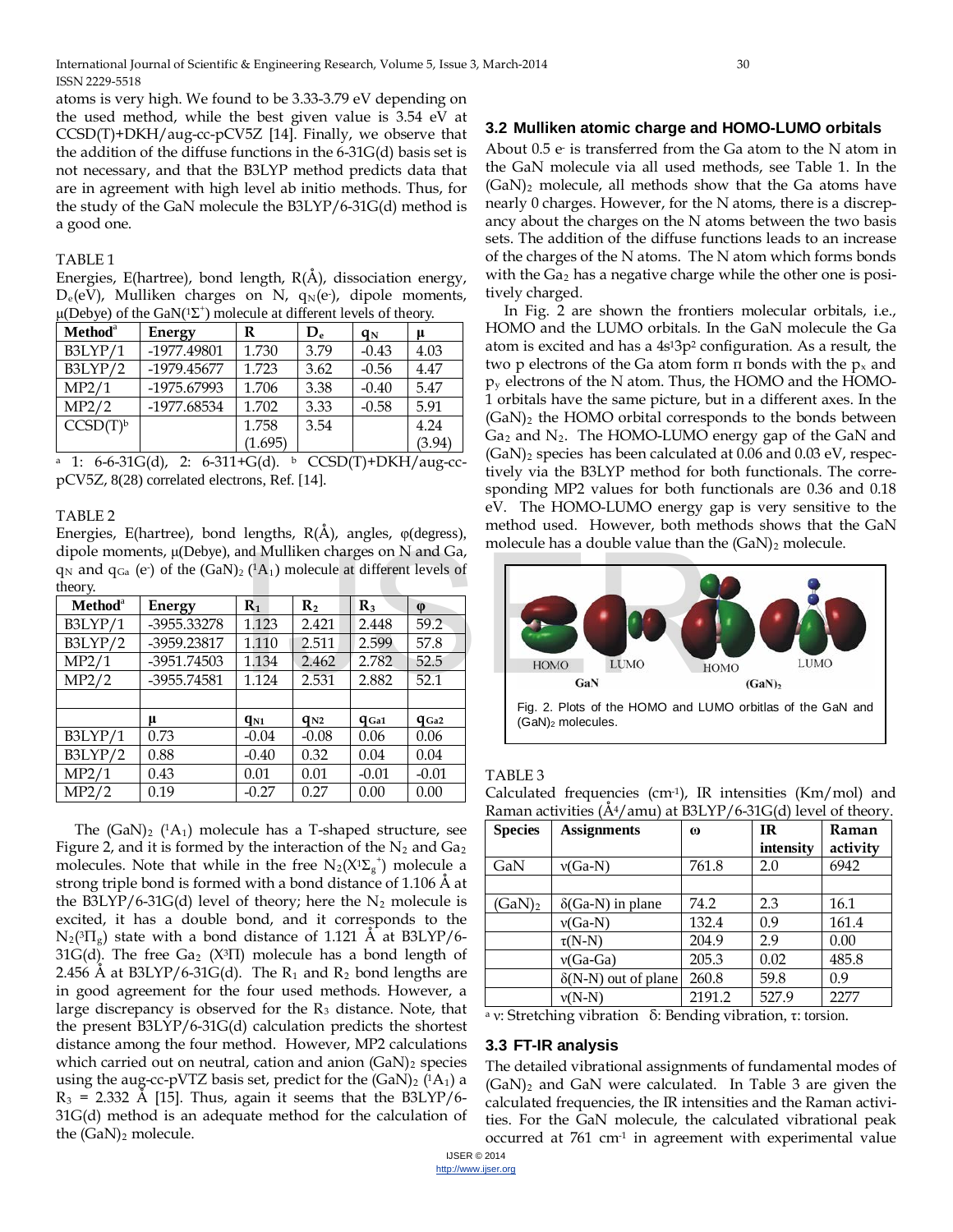atoms is very high. We found to be 3.33-3.79 eV depending on the used method, while the best given value is 3.54 eV at CCSD(T)+DKH/aug-cc-pCV5Z [14]. Finally, we observe that the addition of the diffuse functions in the 6-31G(d) basis set is not necessary, and that the B3LYP method predicts data that are in agreement with high level ab initio methods. Thus, for the study of the GaN molecule the B3LYP/6-31G(d) method is a good one.

## TABLE 1

Energies, E(hartree), bond length,  $R(\AA)$ , dissociation energy,  $D_e(eV)$ , Mulliken charges on N,  $q_N(e)$ , dipole moments,  $\mu$ (Debye) of the GaN(<sup>1</sup> $\Sigma$ <sup>+</sup>) molecule at different levels of theory.

| Method <sup>a</sup>  | Energy      | R       | $\mathbf{D}_{e}$ | $q_N$   | μ      |
|----------------------|-------------|---------|------------------|---------|--------|
| B3LYP/1              | -1977.49801 | 1.730   | 3.79             | $-0.43$ | 4.03   |
| B3LYP/2              | -1979.45677 | 1.723   | 3.62             | $-0.56$ | 4.47   |
| MP2/1                | -1975.67993 | 1.706   | 3.38             | $-0.40$ | 5.47   |
| MP2/2                | -1977.68534 | 1.702   | 3.33             | $-0.58$ | 5.91   |
| CCSD(T) <sup>b</sup> |             | 1.758   | 3.54             |         | 4.24   |
|                      |             | (1.695) |                  |         | (3.94) |

<sup>a</sup> 1: 6-6-31G(d), 2: 6-311+G(d). <sup>b</sup> CCSD(T)+DKH/aug-ccpCV5Z, 8(28) correlated electrons, Ref. [14].

#### TABLE 2

Energies, E(hartree), bond lengths, R(Å), angles, φ(degress), dipole moments, μ(Debye), and Mulliken charges on N and Ga,  $q_N$  and  $q_{Ga}$  (e) of the  $(GaN)_2$  (<sup>1</sup>A<sub>1</sub>) molecule at different levels of theory.

| Method <sup>a</sup> | Energy      | $\mathbf{R}_1$ | $\mathbf{R}_{2}$ | $\mathbf{R}_3$ | $\phi$    |
|---------------------|-------------|----------------|------------------|----------------|-----------|
| B3LYP/1             | -3955.33278 | 1.123          | 2.421            | 2.448          | 59.2      |
| B3LYP/2             | -3959.23817 | 1.110          | 2.511            | 2.599          | 57.8      |
| MP2/1               | -3951.74503 | 1.134          | 2.462            | 2.782          | 52.5      |
| MP2/2               | -3955.74581 | 1.124          | 2.531            | 2.882          | 52.1      |
|                     |             |                |                  |                |           |
|                     | μ           | $q_{N1}$       | $q_{N2}$         | $q_{Ga1}$      | $q_{Ga2}$ |
| B3LYP/1             | 0.73        | $-0.04$        | $-0.08$          | 0.06           | 0.06      |
| B3LYP/2             | 0.88        | $-0.40$        | 0.32             | 0.04           | 0.04      |
| MP2/1               | 0.43        | 0.01           | 0.01             | $-0.01$        | $-0.01$   |
| MP2/2               | 0.19        | $-0.27$        | 0.27             | 0.00           | 0.00      |

The  $(GaN)_2$  (1A<sub>1</sub>) molecule has a T-shaped structure, see Figure 2, and it is formed by the interaction of the  $N_2$  and  $Ga<sub>2</sub>$ molecules. Note that while in the free  $N_2(X^1\Sigma_g^+)$  molecule a strong triple bond is formed with a bond distance of 1.106 Å at the B3LYP/6-31G(d) level of theory; here the  $N_2$  molecule is excited, it has a double bond, and it corresponds to the  $N_2(^{3}\Pi_g)$  state with a bond distance of 1.121 Å at B3LYP/6-31G(d). The free Ga<sub>2</sub> (X<sup>3</sup>II) molecule has a bond length of 2.456 Å at B3LYP/6-31G(d). The  $R_1$  and  $R_2$  bond lengths are in good agreement for the four used methods. However, a large discrepancy is observed for the  $R_3$  distance. Note, that the present B3LYP/6-31G(d) calculation predicts the shortest distance among the four method. However, MP2 calculations which carried out on neutral, cation and anion  $(GaN)$ <sub>2</sub> species using the aug-cc-pVTZ basis set, predict for the  $(GaN)_2$  ( $^1A_1$ ) a  $R_3$  = 2.332 Å [15]. Thus, again it seems that the B3LYP/6-31G(d) method is an adequate method for the calculation of the  $(GaN)_2$  molecule.

# **3.2 Mulliken atomic charge and HOMO-LUMO orbitals**

About  $0.5$   $e$  is transferred from the Ga atom to the N atom in the GaN molecule via all used methods, see Table 1. In the  $(GaN)_2$  molecule, all methods show that the Ga atoms have nearly 0 charges. However, for the N atoms, there is a discrepancy about the charges on the N atoms between the two basis sets. The addition of the diffuse functions leads to an increase of the charges of the N atoms. The N atom which forms bonds with the  $Ga<sub>2</sub>$  has a negative charge while the other one is positively charged.

In Fig. 2 are shown the frontiers molecular orbitals, i.e., HOMO and the LUMO orbitals. In the GaN molecule the Ga atom is excited and has a 4s13p2 configuration. As a result, the two p electrons of the Ga atom form  $\pi$  bonds with the  $p_x$  and  $p_y$  electrons of the N atom. Thus, the HOMO and the HOMO-1 orbitals have the same picture, but in a different axes. In the  $(GaN)_2$  the HOMO orbital corresponds to the bonds between  $Ga<sub>2</sub>$  and  $N<sub>2</sub>$ . The HOMO-LUMO energy gap of the GaN and (GaN)2 species has been calculated at 0.06 and 0.03 eV, respectively via the B3LYP method for both functionals. The corresponding MP2 values for both functionals are 0.36 and 0.18 eV. The HOMO-LUMO energy gap is very sensitive to the method used. However, both methods shows that the GaN molecule has a double value than the  $(GaN)_2$  molecule.



# TABLE 3

| Calculated frequencies (cm <sup>-1</sup> ), IR intensities (Km/mol) and |  |  |  |
|-------------------------------------------------------------------------|--|--|--|
| Raman activities (Å4/amu) at B3LYP/6-31G(d) level of theory.            |  |  |  |
|                                                                         |  |  |  |

| <b>Species</b>                                   | <b>Assignments</b>                 | $\omega$            | <b>IR</b>                       | Raman    |
|--------------------------------------------------|------------------------------------|---------------------|---------------------------------|----------|
|                                                  |                                    |                     | intensity                       | activity |
| GaN                                              | $v(Ga-N)$                          | 761.8               | 2.0                             | 6942     |
|                                                  |                                    |                     |                                 |          |
| $(GaN)_2$                                        | $\delta(Ga-N)$ in plane            | 74.2                | 2.3                             | 16.1     |
|                                                  | $v(Ga-N)$                          | 132.4               | 0.9                             | 161.4    |
|                                                  | $\tau(N-N)$                        | 204.9               | 2.9                             | 0.00     |
|                                                  | $v(Ga-Ga)$                         | 205.3               | 0.02                            | 485.8    |
|                                                  | $\delta(N-N)$ out of plane         | 260.8               | 59.8                            | 0.9      |
|                                                  | $v(N-N)$                           | 2191.2              | 527.9                           | 2277     |
| $\sim$ $\sim$ $\sim$ $\sim$ $\sim$ $\sim$ $\sim$ | $^{\circ}$ 1<br>$\sim$ $\sim$<br>. | . .<br>$^{\bullet}$ | . .<br>the contract of the con- |          |

<sup>a</sup> ν: Stretching vibration δ: Bending vibration, τ: torsion.

# **3.3 FT-IR analysis**

The detailed vibrational assignments of fundamental modes of (GaN)2 and GaN were calculated. In Table 3 are given the calculated frequencies, the IR intensities and the Raman activities. For the GaN molecule, the calculated vibrational peak occurred at  $761 \text{ cm}^1$  in agreement with experimental value

IJSER © 2014 [http://www.ijser.org](http://www.ijser.org/)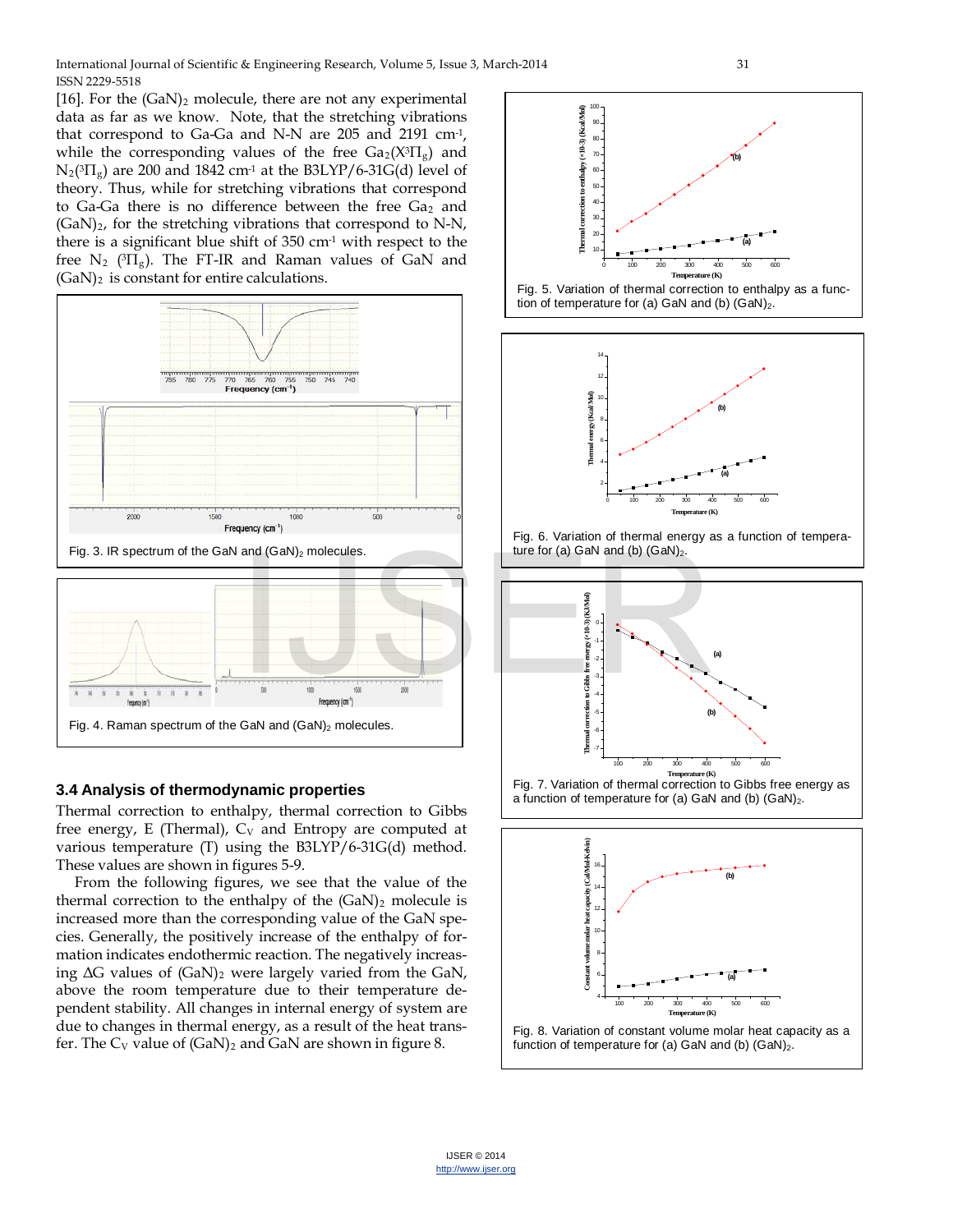[16]. For the  $(GaN)_2$  molecule, there are not any experimental data as far as we know. Note, that the stretching vibrations that correspond to Ga-Ga and N-N are 205 and 2191 cm-1, while the corresponding values of the free  $Ga_2(X^{3}\Pi_g)$  and  $N_2(^{3}\Pi_g)$  are 200 and 1842 cm<sup>-1</sup> at the B3LYP/6-31G(d) level of theory. Thus, while for stretching vibrations that correspond to Ga-Ga there is no difference between the free  $Ga<sub>2</sub>$  and  $(GaN)<sub>2</sub>$ , for the stretching vibrations that correspond to N-N, there is a significant blue shift of  $350 \text{ cm}^1$  with respect to the free  $N_2$  ( ${}^{3}T_{g}$ ). The FT-IR and Raman values of GaN and  $(GaN)_2$  is constant for entire calculations.



# **3.4 Analysis of thermodynamic properties**

Thermal correction to enthalpy, thermal correction to Gibbs free energy, E (Thermal),  $C_V$  and Entropy are computed at various temperature (T) using the B3LYP/6-31G(d) method. These values are shown in figures 5-9.

From the following figures, we see that the value of the thermal correction to the enthalpy of the  $(GaN)_2$  molecule is increased more than the corresponding value of the GaN species. Generally, the positively increase of the enthalpy of formation indicates endothermic reaction. The negatively increasing  $\Delta G$  values of  $(GaN)_2$  were largely varied from the GaN, above the room temperature due to their temperature dependent stability. All changes in internal energy of system are due to changes in thermal energy, as a result of the heat transfer. The  $C_V$  value of  $(GaN)_2$  and  $GaN$  are shown in figure 8.